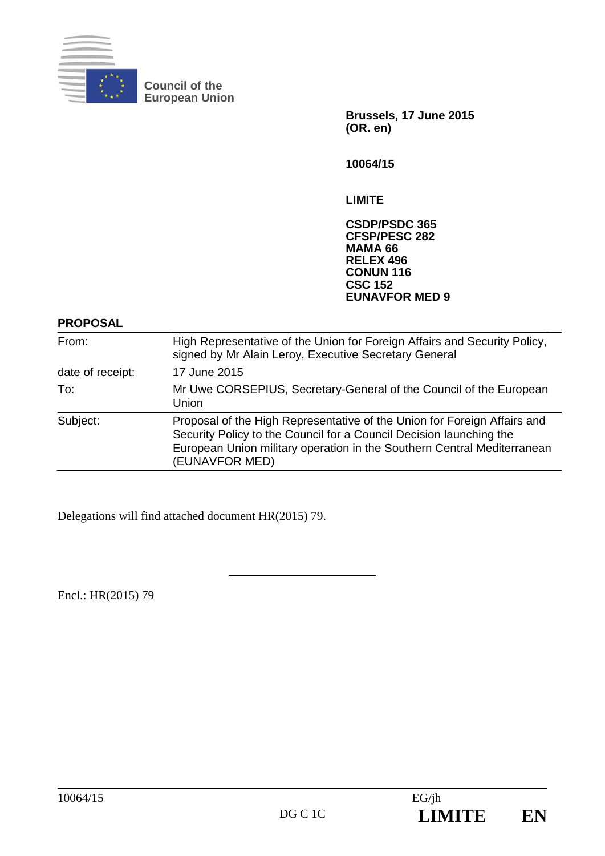

**Council of the European Union** 

> **Brussels, 17 June 2015 (OR. en)**

**10064/15** 

**LIMITE** 

**CSDP/PSDC 365 CFSP/PESC 282 MAMA 66 RELEX 496 CONUN 116 CSC 152 EUNAVFOR MED 9** 

**PROPOSAL** 

| From:            | High Representative of the Union for Foreign Affairs and Security Policy,<br>signed by Mr Alain Leroy, Executive Secretary General                                                                                                           |
|------------------|----------------------------------------------------------------------------------------------------------------------------------------------------------------------------------------------------------------------------------------------|
| date of receipt: | 17 June 2015                                                                                                                                                                                                                                 |
| To:              | Mr Uwe CORSEPIUS, Secretary-General of the Council of the European<br>Union                                                                                                                                                                  |
| Subject:         | Proposal of the High Representative of the Union for Foreign Affairs and<br>Security Policy to the Council for a Council Decision launching the<br>European Union military operation in the Southern Central Mediterranean<br>(EUNAVFOR MED) |

Delegations will find attached document HR(2015) 79.

Encl.: HR(2015) 79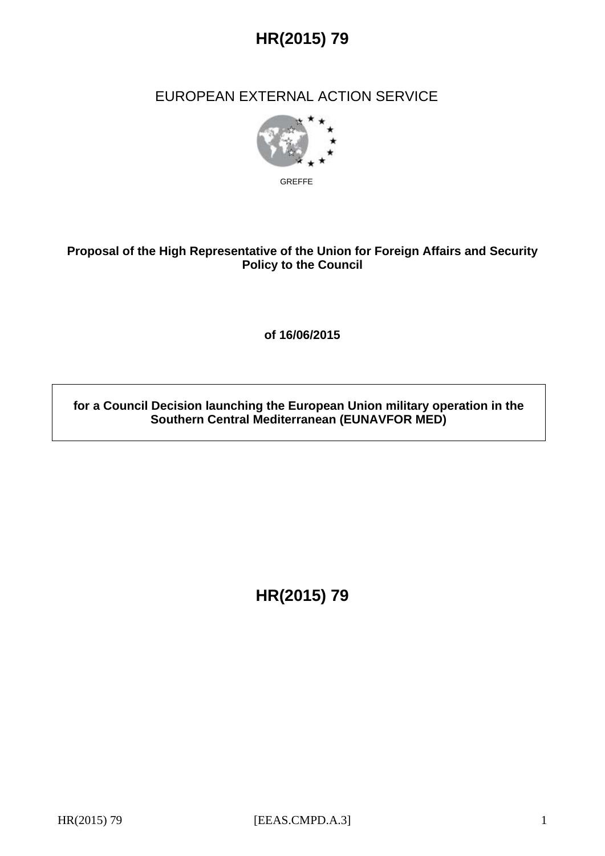

## EUROPEAN EXTERNAL ACTION SERVICE



GREFFE

### **Proposal of the High Representative of the Union for Foreign Affairs and Security Policy to the Council**

**of 16/06/2015** 

**for a Council Decision launching the European Union military operation in the Southern Central Mediterranean (EUNAVFOR MED)** 

**HR(2015) 79**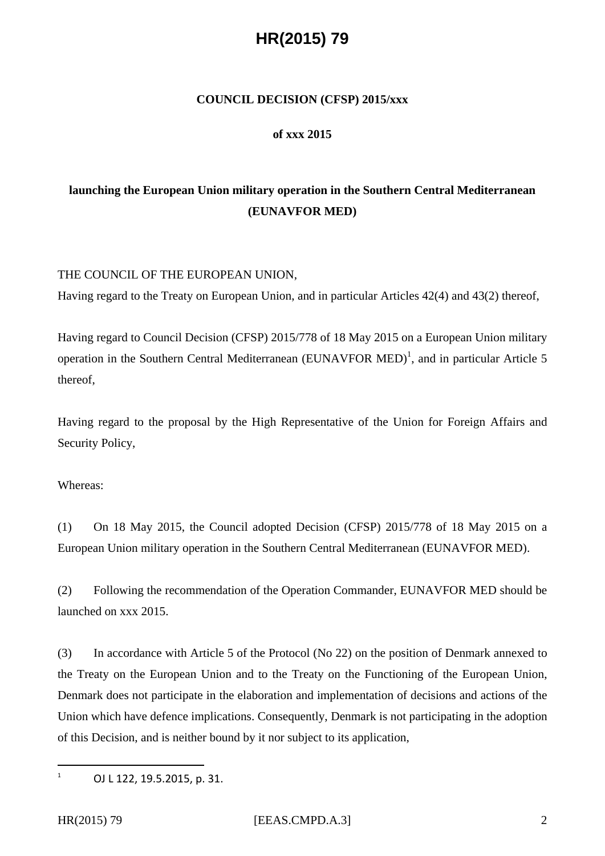# **HR(2015) 79**

#### **COUNCIL DECISION (CFSP) 2015/xxx**

#### **of xxx 2015**

## **launching the European Union military operation in the Southern Central Mediterranean (EUNAVFOR MED)**

#### THE COUNCIL OF THE EUROPEAN UNION,

Having regard to the Treaty on European Union, and in particular Articles 42(4) and 43(2) thereof,

Having regard to Council Decision (CFSP) 2015/778 of 18 May 2015 on a European Union military operation in the Southern Central Mediterranean (EUNAVFOR MED)<sup>1</sup>, and in particular Article 5 thereof,

Having regard to the proposal by the High Representative of the Union for Foreign Affairs and Security Policy,

Whereas:

(1) On 18 May 2015, the Council adopted Decision (CFSP) 2015/778 of 18 May 2015 on a European Union military operation in the Southern Central Mediterranean (EUNAVFOR MED).

(2) Following the recommendation of the Operation Commander, EUNAVFOR MED should be launched on xxx 2015.

(3) In accordance with Article 5 of the Protocol (No 22) on the position of Denmark annexed to the Treaty on the European Union and to the Treaty on the Functioning of the European Union, Denmark does not participate in the elaboration and implementation of decisions and actions of the Union which have defence implications. Consequently, Denmark is not participating in the adoption of this Decision, and is neither bound by it nor subject to its application,

 $\overline{a}$ 1

 OJ L 122, 19.5.2015, p. 31.